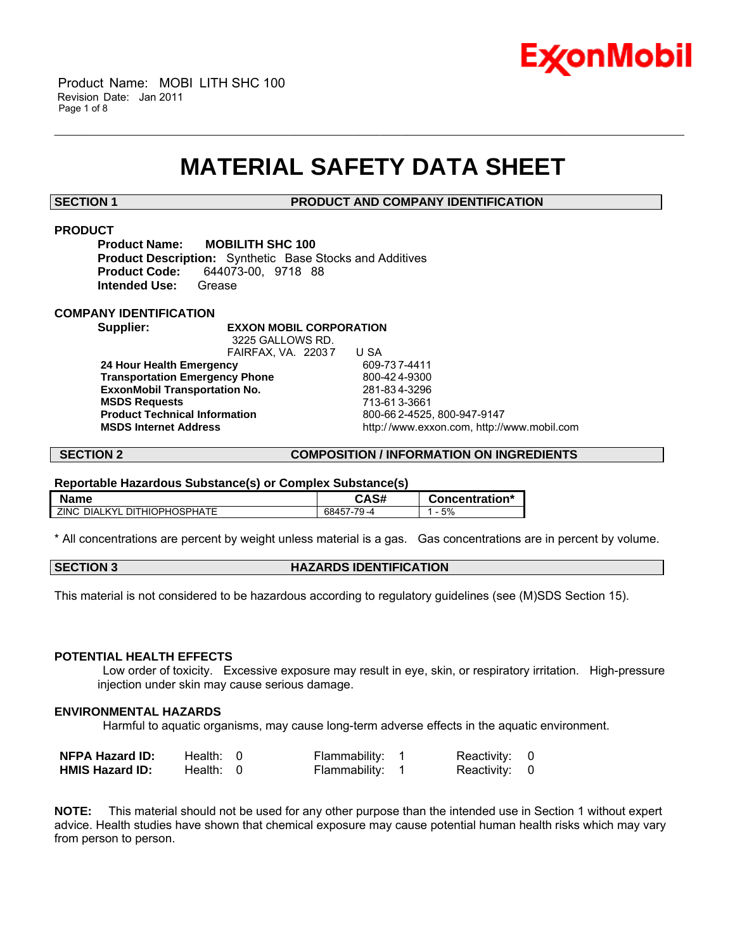

# **MATERIAL SAFETY DATA SHEET**

\_\_\_\_\_\_\_\_\_\_\_\_\_\_\_\_\_\_\_\_\_\_\_\_\_\_\_\_\_\_\_\_\_\_\_\_\_\_\_\_\_\_\_\_\_\_\_\_\_\_\_\_\_\_\_\_\_\_\_\_\_\_\_\_\_\_\_\_\_\_\_\_\_\_\_\_\_\_\_\_\_\_\_\_\_\_\_\_\_\_\_\_\_\_\_\_\_\_\_\_\_\_\_\_\_\_\_\_\_\_\_\_\_\_\_\_\_\_

**SECTION 1 PRODUCT AND COMPANY IDENTIFICATION**

### **PRODUCT**

**Product Name: MOBILITH SHC 100 Product Description:** Synthetic Base Stocks and Additives **Product Code:** 644073-00, 9718 88 **Intended Use:** Grease

### **COMPANY IDENTIFICATION**

**Supplier: EXXON MOBIL CORPORATION**

 3225 GALLOWS RD. FAIRFAX, VA. 22037 U SA<br> **cv** 609-737-4411 **24 Hour Health Emergency Transportation Emergency Phone** 800-424-9300 **ExxonMobil Transportation No.** 281-834-3296<br>**MSDS Requests** 713-61 3-3661  **MSDS Requests** 713-61 3-3661 **Product Technical Information<br><b>MSDS** Internet Address

 **MSDS Internet Address** http:/ /www.exxon.com, http://www.mobil.com

#### **SECTION 2 COMPOSITION / INFORMATION ON INGREDIENTS**

#### **Reportable Hazardous Substance(s) or Complex Substance(s)**

| <b>Name</b>                                     | <b>CAS#</b> | Concentration* |
|-------------------------------------------------|-------------|----------------|
| $ZINC_1$<br><b>DIALKYL</b><br>. DITHIOPHOSPHATE | 68457-79-4  | 5%             |

\* All concentrations are percent by weight unless material is a gas. Gas concentrations are in percent by volume.

### **HAZARDS IDENTIFICATION**

This material is not considered to be hazardous according to regulatory guidelines (see (M)SDS Section 15).

#### **POTENTIAL HEALTH EFFECTS**

 Low order of toxicity. Excessive exposure may result in eye, skin, or respiratory irritation. High-pressure injection under skin may cause serious damage.

#### **ENVIRONMENTAL HAZARDS**

Harmful to aquatic organisms, may cause long-term adverse effects in the aquatic environment.

| <b>NFPA Hazard ID:</b> | Health: 0 | Flammability: 1 | Reactivity: 0 |  |
|------------------------|-----------|-----------------|---------------|--|
| <b>HMIS Hazard ID:</b> | Health: 0 | Flammability: 1 | Reactivity: 0 |  |

**NOTE:** This material should not be used for any other purpose than the intended use in Section 1 without expert advice. Health studies have shown that chemical exposure may cause potential human health risks which may vary from person to person.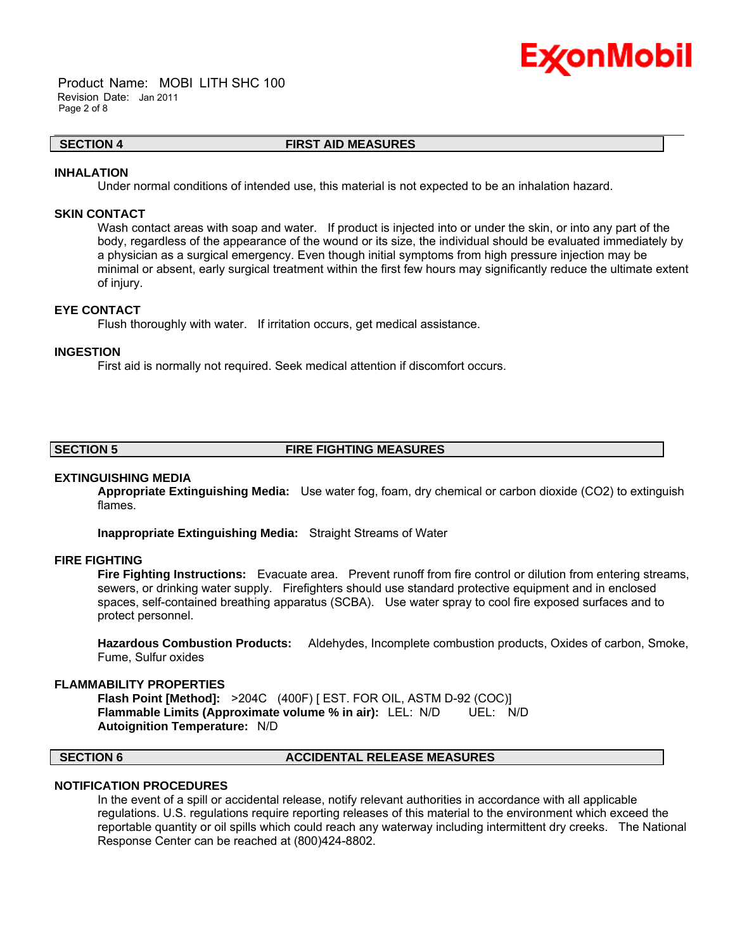

 Product Name: MOBI LITH SHC 100 Revision Date: Jan 2011 Page 2 of 8

#### **SECTION 4 FIRST AID MEASURES**

\_\_\_\_\_\_\_\_\_\_\_\_\_\_\_\_\_\_\_\_\_\_\_\_\_\_\_\_\_\_\_\_\_\_\_\_\_\_\_\_\_\_\_\_\_\_\_\_\_\_\_\_\_\_\_\_\_\_\_\_\_\_\_\_\_\_\_\_\_\_\_\_\_\_\_\_\_\_\_\_\_\_\_\_\_\_\_\_\_\_\_\_\_\_\_\_\_\_\_\_\_\_\_\_\_\_\_\_\_\_\_\_\_\_\_\_\_\_

#### **INHALATION**

Under normal conditions of intended use, this material is not expected to be an inhalation hazard.

### **SKIN CONTACT**

Wash contact areas with soap and water. If product is injected into or under the skin, or into any part of the body, regardless of the appearance of the wound or its size, the individual should be evaluated immediately by a physician as a surgical emergency. Even though initial symptoms from high pressure injection may be minimal or absent, early surgical treatment within the first few hours may significantly reduce the ultimate extent of injury.

### **EYE CONTACT**

Flush thoroughly with water. If irritation occurs, get medical assistance.

#### **INGESTION**

First aid is normally not required. Seek medical attention if discomfort occurs.

#### **SECTION 5 FIRE FIGHTING MEASURES**

#### **EXTINGUISHING MEDIA**

**Appropriate Extinguishing Media:** Use water fog, foam, dry chemical or carbon dioxide (CO2) to extinguish flames.

**Inappropriate Extinguishing Media:** Straight Streams of Water

#### **FIRE FIGHTING**

**Fire Fighting Instructions:** Evacuate area. Prevent runoff from fire control or dilution from entering streams, sewers, or drinking water supply. Firefighters should use standard protective equipment and in enclosed spaces, self-contained breathing apparatus (SCBA). Use water spray to cool fire exposed surfaces and to protect personnel.

**Hazardous Combustion Products:** Aldehydes, Incomplete combustion products, Oxides of carbon, Smoke, Fume, Sulfur oxides

#### **FLAMMABILITY PROPERTIES**

**Flash Point [Method]:** >204C (400F) [ EST. FOR OIL, ASTM D-92 (COC)] **Flammable Limits (Approximate volume % in air):** LEL: N/D **Autoignition Temperature:** N/D

#### **SECTION 6 ACCIDENTAL RELEASE MEASURES**

### **NOTIFICATION PROCEDURES**

In the event of a spill or accidental release, notify relevant authorities in accordance with all applicable regulations. U.S. regulations require reporting releases of this material to the environment which exceed the reportable quantity or oil spills which could reach any waterway including intermittent dry creeks. The National Response Center can be reached at (800)424-8802.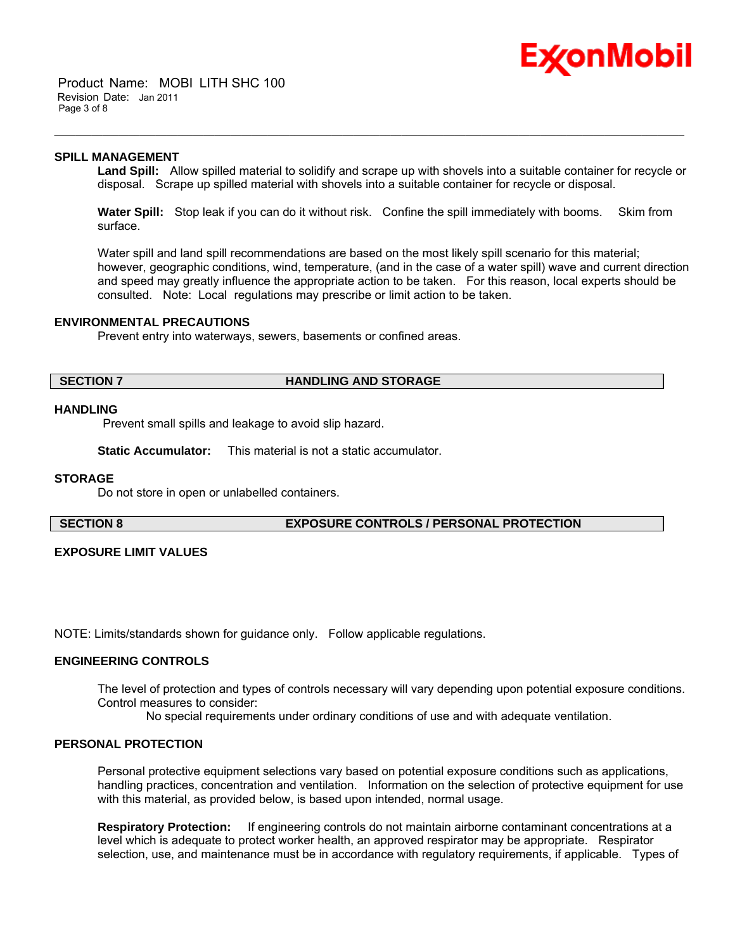

 Product Name: MOBI LITH SHC 100 Revision Date: Jan 2011 Page 3 of 8

#### **SPILL MANAGEMENT**

**Land Spill:** Allow spilled material to solidify and scrape up with shovels into a suitable container for recycle or disposal. Scrape up spilled material with shovels into a suitable container for recycle or disposal.

\_\_\_\_\_\_\_\_\_\_\_\_\_\_\_\_\_\_\_\_\_\_\_\_\_\_\_\_\_\_\_\_\_\_\_\_\_\_\_\_\_\_\_\_\_\_\_\_\_\_\_\_\_\_\_\_\_\_\_\_\_\_\_\_\_\_\_\_\_\_\_\_\_\_\_\_\_\_\_\_\_\_\_\_\_\_\_\_\_\_\_\_\_\_\_\_\_\_\_\_\_\_\_\_\_\_\_\_\_\_\_\_\_\_\_\_\_\_

**Water Spill:** Stop leak if you can do it without risk. Confine the spill immediately with booms. Skim from surface.

Water spill and land spill recommendations are based on the most likely spill scenario for this material; however, geographic conditions, wind, temperature, (and in the case of a water spill) wave and current direction and speed may greatly influence the appropriate action to be taken. For this reason, local experts should be consulted. Note: Local regulations may prescribe or limit action to be taken.

#### **ENVIRONMENTAL PRECAUTIONS**

Prevent entry into waterways, sewers, basements or confined areas.

### **SECTION 7 HANDLING AND STORAGE**

#### **HANDLING**

Prevent small spills and leakage to avoid slip hazard.

**Static Accumulator:** This material is not a static accumulator.

#### **STORAGE**

Do not store in open or unlabelled containers.

**SECTION 8 EXPOSURE CONTROLS / PERSONAL PROTECTION**

### **EXPOSURE LIMIT VALUES**

NOTE: Limits/standards shown for guidance only. Follow applicable regulations.

### **ENGINEERING CONTROLS**

The level of protection and types of controls necessary will vary depending upon potential exposure conditions. Control measures to consider:

No special requirements under ordinary conditions of use and with adequate ventilation.

#### **PERSONAL PROTECTION**

Personal protective equipment selections vary based on potential exposure conditions such as applications, handling practices, concentration and ventilation. Information on the selection of protective equipment for use with this material, as provided below, is based upon intended, normal usage.

**Respiratory Protection:** If engineering controls do not maintain airborne contaminant concentrations at a level which is adequate to protect worker health, an approved respirator may be appropriate. Respirator selection, use, and maintenance must be in accordance with regulatory requirements, if applicable. Types of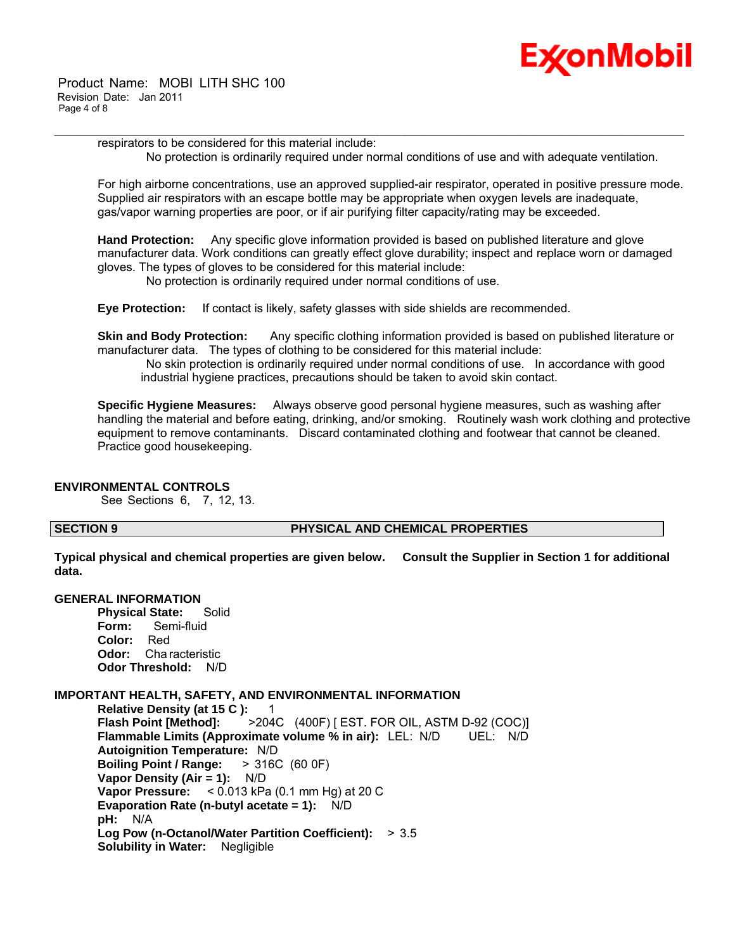

 Product Name: MOBI LITH SHC 100 Revision Date: Jan 2011 Page 4 of 8

> respirators to be considered for this material include: No protection is ordinarily required under normal conditions of use and with adequate ventilation.

\_\_\_\_\_\_\_\_\_\_\_\_\_\_\_\_\_\_\_\_\_\_\_\_\_\_\_\_\_\_\_\_\_\_\_\_\_\_\_\_\_\_\_\_\_\_\_\_\_\_\_\_\_\_\_\_\_\_\_\_\_\_\_\_\_\_\_\_\_\_\_\_\_\_\_\_\_\_\_\_\_\_\_\_\_\_\_\_\_\_\_\_\_\_\_\_\_\_\_\_\_\_\_\_\_\_\_\_\_\_\_\_\_\_\_\_\_\_

For high airborne concentrations, use an approved supplied-air respirator, operated in positive pressure mode. Supplied air respirators with an escape bottle may be appropriate when oxygen levels are inadequate, gas/vapor warning properties are poor, or if air purifying filter capacity/rating may be exceeded.

**Hand Protection:** Any specific glove information provided is based on published literature and glove manufacturer data. Work conditions can greatly effect glove durability; inspect and replace worn or damaged gloves. The types of gloves to be considered for this material include:

No protection is ordinarily required under normal conditions of use.

**Eye Protection:** If contact is likely, safety glasses with side shields are recommended.

**Skin and Body Protection:** Any specific clothing information provided is based on published literature or manufacturer data. The types of clothing to be considered for this material include:

 No skin protection is ordinarily required under normal conditions of use. In accordance with good industrial hygiene practices, precautions should be taken to avoid skin contact.

**Specific Hygiene Measures:** Always observe good personal hygiene measures, such as washing after handling the material and before eating, drinking, and/or smoking. Routinely wash work clothing and protective equipment to remove contaminants. Discard contaminated clothing and footwear that cannot be cleaned. Practice good housekeeping.

### **ENVIRONMENTAL CONTROLS**

See Sections 6, 7, 12, 13.

#### **SECTION 9 PHYSICAL AND CHEMICAL PROPERTIES**

**Typical physical and chemical properties are given below. Consult the Supplier in Section 1 for additional data.**

#### **GENERAL INFORMATION**

**Physical State:** Solid Form: Semi-fluid<br>Color: Red Color: **Odor:** Cha racteristic **Odor Threshold:** N/D

### **IMPORTANT HEALTH, SAFETY, AND ENVIRONMENTAL INFORMATION**

**Relative Density (at 15 C ): 1<br>Flash Point [Method]: 204 Flash Point [Method]:** >204C (400F) [ EST. FOR OIL, ASTM D-92 (COC)] **Flammable Limits (Approximate volume % in air):** LEL: N/D UEL: N/D **Autoignition Temperature:** N/D **Boiling Point / Range: Vapor Density (Air = 1):** N/D **Vapor Pressure:** < 0.013 kPa (0.1 mm Hg) at 20 C **Evaporation Rate (n-butyl acetate = 1):** N/D **pH:** N/A **Log Pow (n-Octanol/Water Partition Coefficient):** > 3.5 **Solubility in Water:** Negligible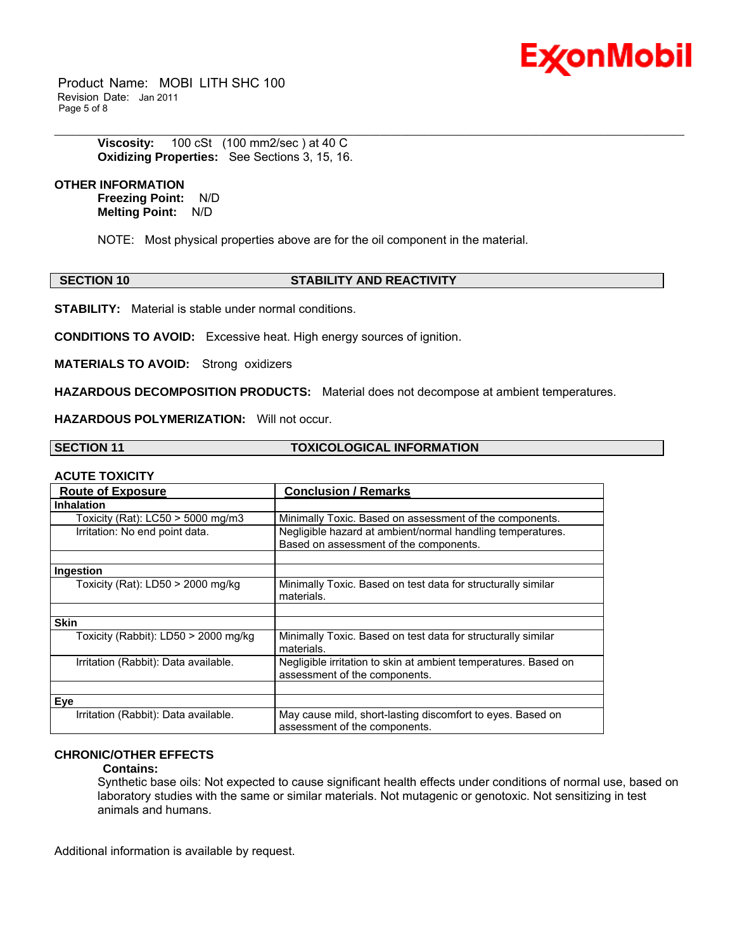

 Product Name: MOBI LITH SHC 100 Revision Date: Jan 2011 Page 5 of 8

> **Viscosity:** 100 cSt (100 mm2/sec ) at 40 C **Oxidizing Properties:** See Sections 3, 15, 16.

## **OTHER INFORMATION**

**Freezing Point:** N/D **Melting Point:** N/D

NOTE: Most physical properties above are for the oil component in the material.

#### **SECTION 10 STABILITY AND REACTIVITY**

\_\_\_\_\_\_\_\_\_\_\_\_\_\_\_\_\_\_\_\_\_\_\_\_\_\_\_\_\_\_\_\_\_\_\_\_\_\_\_\_\_\_\_\_\_\_\_\_\_\_\_\_\_\_\_\_\_\_\_\_\_\_\_\_\_\_\_\_\_\_\_\_\_\_\_\_\_\_\_\_\_\_\_\_\_\_\_\_\_\_\_\_\_\_\_\_\_\_\_\_\_\_\_\_\_\_\_\_\_\_\_\_\_\_\_\_\_\_

**STABILITY:** Material is stable under normal conditions.

**CONDITIONS TO AVOID:** Excessive heat. High energy sources of ignition.

**MATERIALS TO AVOID:** Strong oxidizers

**HAZARDOUS DECOMPOSITION PRODUCTS:** Material does not decompose at ambient temperatures.

**HAZARDOUS POLYMERIZATION:** Will not occur.

**SECTION 11 TOXICOLOGICAL INFORMATION**

#### **ACUTE TOXICITY**

| AVVIL IVAIVII I                      |                                                                                                      |
|--------------------------------------|------------------------------------------------------------------------------------------------------|
| <b>Route of Exposure</b>             | <b>Conclusion / Remarks</b>                                                                          |
| <b>Inhalation</b>                    |                                                                                                      |
| Toxicity (Rat): $LCS0 > 5000$ mg/m3  | Minimally Toxic. Based on assessment of the components.                                              |
| Irritation: No end point data.       | Negligible hazard at ambient/normal handling temperatures.<br>Based on assessment of the components. |
|                                      |                                                                                                      |
| Ingestion                            |                                                                                                      |
| Toxicity (Rat): $LD50 > 2000$ mg/kg  | Minimally Toxic. Based on test data for structurally similar<br>materials.                           |
|                                      |                                                                                                      |
| <b>Skin</b>                          |                                                                                                      |
| Toxicity (Rabbit): LD50 > 2000 mg/kg | Minimally Toxic. Based on test data for structurally similar<br>materials.                           |
| Irritation (Rabbit): Data available. | Negligible irritation to skin at ambient temperatures. Based on<br>assessment of the components.     |
|                                      |                                                                                                      |
| Eye                                  |                                                                                                      |
| Irritation (Rabbit): Data available. | May cause mild, short-lasting discomfort to eyes. Based on<br>assessment of the components.          |

### **CHRONIC/OTHER EFFECTS**

#### **Contains:**

Synthetic base oils: Not expected to cause significant health effects under conditions of normal use, based on laboratory studies with the same or similar materials. Not mutagenic or genotoxic. Not sensitizing in test animals and humans.

Additional information is available by request.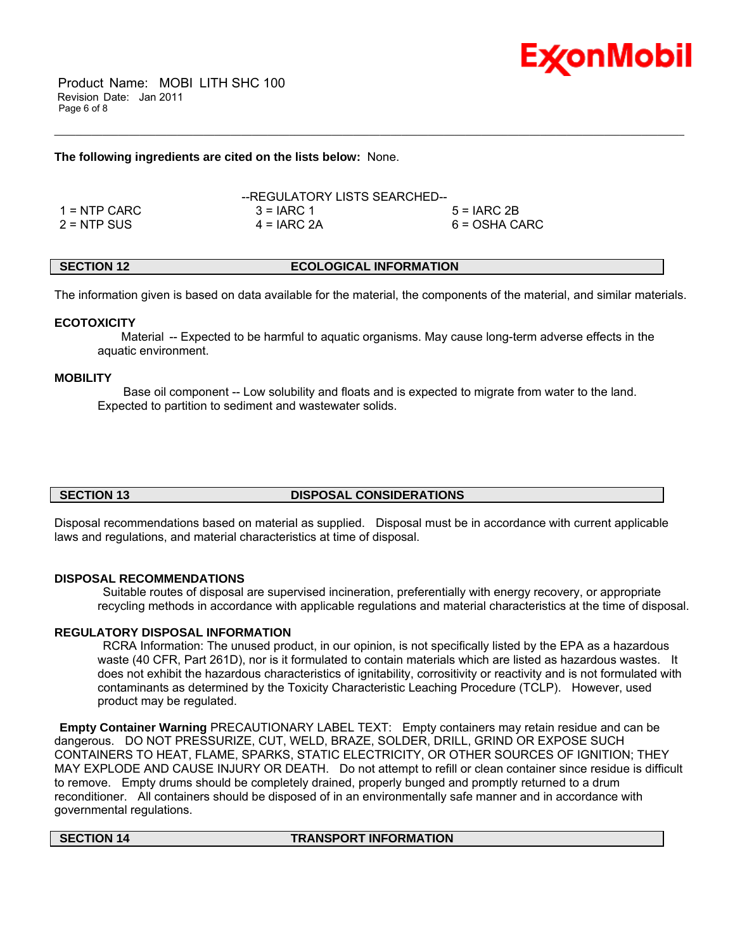

 Product Name: MOBI LITH SHC 100 Revision Date: Jan 2011 Page 6 of 8

#### **The following ingredients are cited on the lists below:** None.

|               | --REGULATORY LISTS SEARCHED-- |               |
|---------------|-------------------------------|---------------|
| 1 = NTP CARC  | $3 = IARC 1$                  | $5 = IARC2B$  |
| $2 =$ NTP SUS | $4 = IARC 2A$                 | 6 = OSHA CARC |

### **SECTION 12 ECOLOGICAL INFORMATION**

The information given is based on data available for the material, the components of the material, and similar materials.

\_\_\_\_\_\_\_\_\_\_\_\_\_\_\_\_\_\_\_\_\_\_\_\_\_\_\_\_\_\_\_\_\_\_\_\_\_\_\_\_\_\_\_\_\_\_\_\_\_\_\_\_\_\_\_\_\_\_\_\_\_\_\_\_\_\_\_\_\_\_\_\_\_\_\_\_\_\_\_\_\_\_\_\_\_\_\_\_\_\_\_\_\_\_\_\_\_\_\_\_\_\_\_\_\_\_\_\_\_\_\_\_\_\_\_\_\_\_

#### **ECOTOXICITY**

 Material -- Expected to be harmful to aquatic organisms. May cause long-term adverse effects in the aquatic environment.

#### **MOBILITY**

 Base oil component -- Low solubility and floats and is expected to migrate from water to the land. Expected to partition to sediment and wastewater solids.

#### **SECTION 13 DISPOSAL CONSIDERATIONS**

Disposal recommendations based on material as supplied. Disposal must be in accordance with current applicable laws and regulations, and material characteristics at time of disposal.

#### **DISPOSAL RECOMMENDATIONS**

 Suitable routes of disposal are supervised incineration, preferentially with energy recovery, or appropriate recycling methods in accordance with applicable regulations and material characteristics at the time of disposal.

#### **REGULATORY DISPOSAL INFORMATION**

 RCRA Information: The unused product, in our opinion, is not specifically listed by the EPA as a hazardous waste (40 CFR, Part 261D), nor is it formulated to contain materials which are listed as hazardous wastes. It does not exhibit the hazardous characteristics of ignitability, corrositivity or reactivity and is not formulated with contaminants as determined by the Toxicity Characteristic Leaching Procedure (TCLP). However, used product may be regulated.

**Empty Container Warning** PRECAUTIONARY LABEL TEXT: Empty containers may retain residue and can be dangerous. DO NOT PRESSURIZE, CUT, WELD, BRAZE, SOLDER, DRILL, GRIND OR EXPOSE SUCH CONTAINERS TO HEAT, FLAME, SPARKS, STATIC ELECTRICITY, OR OTHER SOURCES OF IGNITION; THEY MAY EXPLODE AND CAUSE INJURY OR DEATH. Do not attempt to refill or clean container since residue is difficult to remove. Empty drums should be completely drained, properly bunged and promptly returned to a drum reconditioner. All containers should be disposed of in an environmentally safe manner and in accordance with governmental regulations.

#### **SECTION 14 TRANSPORT INFORMATION**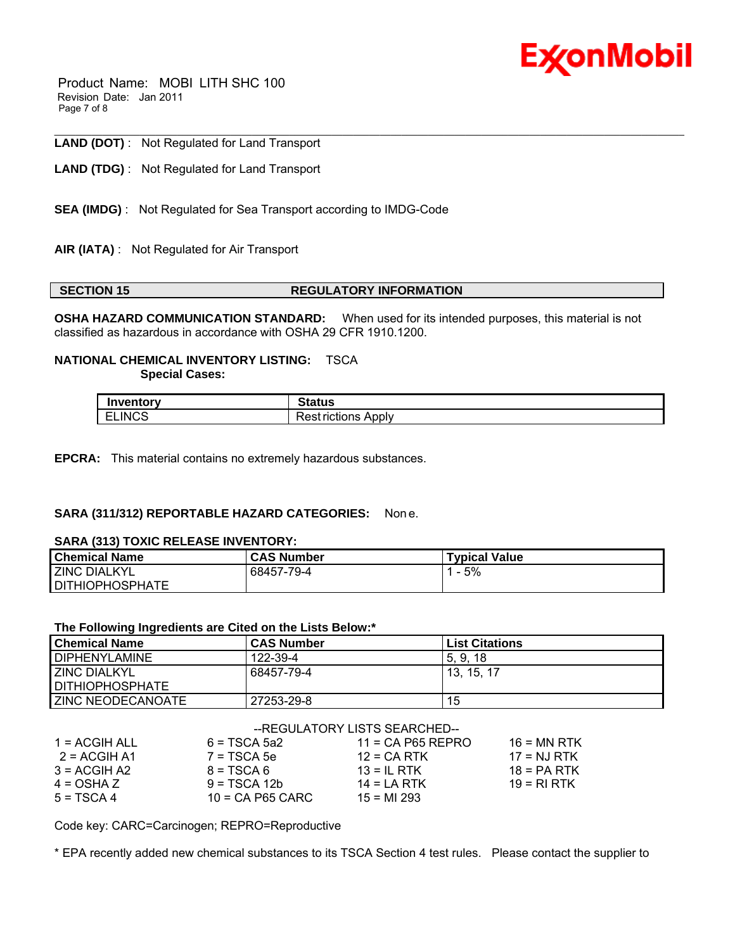

 Product Name: MOBI LITH SHC 100 Revision Date: Jan 2011 Page 7 of 8

#### \_\_\_\_\_\_\_\_\_\_\_\_\_\_\_\_\_\_\_\_\_\_\_\_\_\_\_\_\_\_\_\_\_\_\_\_\_\_\_\_\_\_\_\_\_\_\_\_\_\_\_\_\_\_\_\_\_\_\_\_\_\_\_\_\_\_\_\_\_\_\_\_\_\_\_\_\_\_\_\_\_\_\_\_\_\_\_\_\_\_\_\_\_\_\_\_\_\_\_\_\_\_\_\_\_\_\_\_\_\_\_\_\_\_\_\_\_\_ **LAND (DOT)** : Not Regulated for Land Transport

**LAND (TDG)** : Not Regulated for Land Transport

- **SEA (IMDG)** : Not Regulated for Sea Transport according to IMDG-Code
- **AIR (IATA)** : Not Regulated for Air Transport

#### **SECTION 15 REGULATORY INFORMATION**

**OSHA HAZARD COMMUNICATION STANDARD:** When used for its intended purposes, this material is not classified as hazardous in accordance with OSHA 29 CFR 1910.1200.

#### **NATIONAL CHEMICAL INVENTORY LISTING:** TSCA  **Special Cases:**

| <b><i>Branch</i> Address</b> | .                                     |
|------------------------------|---------------------------------------|
| entor y                      | วเสเนธ                                |
| <b>ELINCS</b>                | .<br>Apply<br>.<br>≏<br>чеъ<br>tions: |

**EPCRA:** This material contains no extremely hazardous substances.

#### **SARA (311/312) REPORTABLE HAZARD CATEGORIES:** Non e.

#### **SARA (313) TOXIC RELEASE INVENTORY:**

| <b>Chemical Name</b>   | <b>CAS Number</b> | <b>Typical Value</b> |
|------------------------|-------------------|----------------------|
| <b>ZINC DIALKYL</b>    | 68457-79-4        | 5%<br>-              |
| <b>DITHIOPHOSPHATE</b> |                   |                      |

#### **The Following Ingredients are Cited on the Lists Below:\***

| <b>Chemical Name</b>   | <b>CAS Number</b> | <b>List Citations</b> |
|------------------------|-------------------|-----------------------|
| <b>DIPHENYLAMINE</b>   | 122-39-4          | 5.9.18                |
| <b>ZINC DIALKYL</b>    | 68457-79-4        | 13. 15. 17            |
| <b>DITHIOPHOSPHATE</b> |                   |                       |
| ZINC NEODECANOATE      | 27253-29-8        | 15                    |

|               |                    | --REGULATORY LISTS SEARCHED-- |               |
|---------------|--------------------|-------------------------------|---------------|
| 1 = ACGIH ALL | $6 = TSCA 5a2$     | $11 = CA$ P65 REPRO           | $16 = MN$ RTK |
| 2 = ACGIH A1  | $7 = TSCA5e$       | $12 = CA RTK$                 | $17 = NJ RTK$ |
| $3 = ACGH A2$ | $8 = TSCA6$        | $13 = IL$ RTK                 | $18 = PA RTK$ |
| $4 = OSHA Z$  | $9 = TSCA 12b$     | $14 = LA RTK$                 | $19 = RI RTK$ |
| $5 = TSCA4$   | $10$ = CA P65 CARC | $15 = M1 293$                 |               |

Code key: CARC=Carcinogen; REPRO=Reproductive

\* EPA recently added new chemical substances to its TSCA Section 4 test rules. Please contact the supplier to